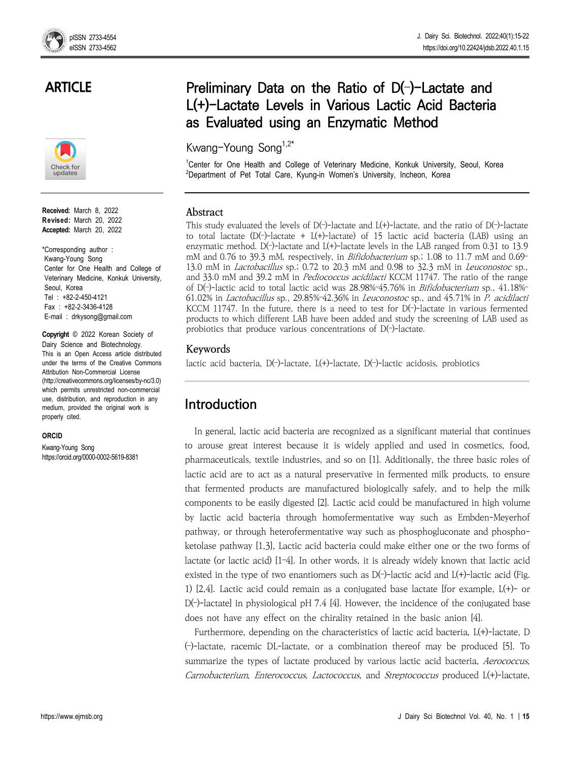## **ARTICLE**



**Received:** March 8, 2022 **Revised:** March 20, 2022 **Accepted:** March 20, 2022

\*Corresponding author : Kwang-Young Song Center for One Health and College of Veterinary Medicine, Konkuk University, Seoul, Korea Tel : +82-2-450-4121 Fax : +82-2-3436-4128 E-mail : drkysong@gmail.com

**Copyright** © 2022 Korean Society of Dairy Science and Biotechnology. This is an Open Access article distributed under the terms of the Creative Commons Attribution Non-Commercial License (http://creativecommons.org/licenses/by-nc/3.0) which permits unrestricted non-commercial use, distribution, and reproduction in any medium, provided the original work is properly cited.

#### **ORCID**

Kwang-Young Song https://orcid.org/0000-0002-5619-8381

# **Preliminary Data on the Ratio of D(**–**)-Lactate and L(+)-Lactate Levels in Various Lactic Acid Bacteria as Evaluated using an Enzymatic Method**

Kwang-Young Song1,2\*

<sup>1</sup>Center for One Health and College of Veterinary Medicine, Konkuk University, Seoul, Korea <sup>2</sup>Department of Pet Total Care, Kyung-in Women's University, Incheon, Korea

#### **Abstract**

This study evaluated the levels of  $D(-)$ -lactate and  $L(+)$ -lactate, and the ratio of  $D(-)$ -lactate to total lactate (D(-)-lactate + L(+)-lactate) of 15 lactic acid bacteria (LAB) using an enzymatic method.  $D(-)$ -lactate and  $L(+)$ -lactate levels in the LAB ranged from 0.31 to 13.9 mM and 0.76 to 39.3 mM, respectively, in *Bifidobacterium* sp.; 1.08 to 11.7 mM and 0.69-13.0 mM in Lactobacillus sp.; 0.72 to 20.3 mM and 0.98 to 32.3 mM in Leuconostoc sp., and 33.0 mM and 39.2 mM in Pediococcus acidilacti KCCM 11747. The ratio of the range of D(–)-lactic acid to total lactic acid was 28.98%–45.76% in Bifidobacterium sp., 41.18%– 61.02% in Lactobacillus sp., 29.85%–42.36% in Leuconostoc sp., and 45.71% in P. acidilacti KCCM 11747. In the future, there is a need to test for D(–)-lactate in various fermented products to which different LAB have been added and study the screening of LAB used as probiotics that produce various concentrations of  $D(-)$ -lactate.

### **Keywords**

lactic acid bacteria, D(–)-lactate, L(+)-lactate, D(–)-lactic acidosis, probiotics

## **Introduction**

In general, lactic acid bacteria are recognized as a significant material that continues to arouse great interest because it is widely applied and used in cosmetics, food, pharmaceuticals, textile industries, and so on [1]. Additionally, the three basic roles of lactic acid are to act as a natural preservative in fermented milk products, to ensure that fermented products are manufactured biologically safely, and to help the milk components to be easily digested [2]. Lactic acid could be manufactured in high volume by lactic acid bacteria through homofermentative way such as Embden-Meyerhof pathway, or through heterofermentative way such as phosphogluconate and phospho ketolase pathway [1,3], Lactic acid bacteria could make either one or the two forms of lactate (or lactic acid) [1–4]. In other words, it is already widely known that lactic acid existed in the type of two enantiomers such as  $D(-)$ -lactic acid and  $L(+)$ -lactic acid (Fig. 1) [2,4]. Lactic acid could remain as a conjugated base lactate [for example, L(+)- or D(–)-lactate] in physiological pH 7.4 [4]. However, the incidence of the conjugated base does not have any effect on the chirality retained in the basic anion [4].

Furthermore, depending on the characteristics of lactic acid bacteria, L(+)-lactate, D (–)-lactate, racemic DL-lactate, or a combination thereof may be produced [5]. To summarize the types of lactate produced by various lactic acid bacteria, Aerococcus, Carnobacterium, Enterococcus, Lactococcus, and Streptococcus produced L(+)-lactate,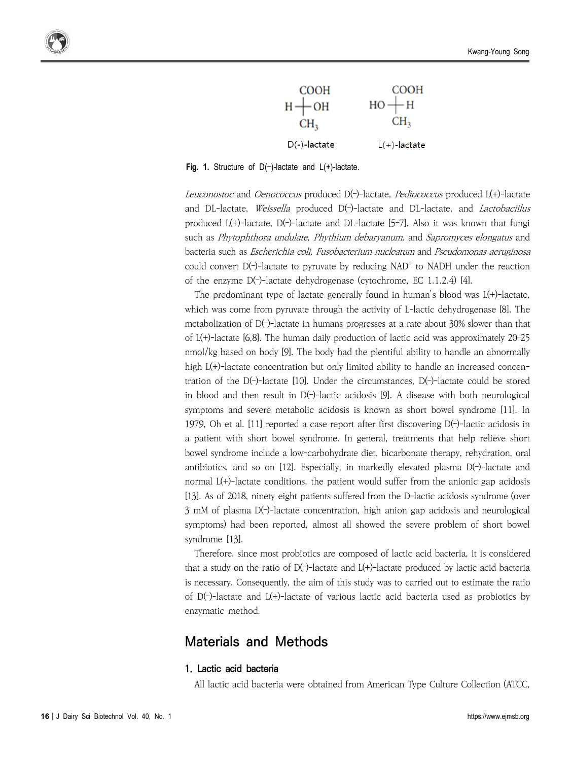

**Fig. 1.** Structure of D(–)-lactate and L(+)-lactate.

Leuconostoc and Oenococcus produced D(-)-lactate, Pediococcus produced L(+)-lactate and DL-lactate, Weissella produced D(-)-lactate and DL-lactate, and Lactobaciilus produced  $L(+)$ -lactate,  $D(-)$ -lactate and DL-lactate [5-7]. Also it was known that fungi such as Phytophthora undulate, Phythium debaryanum, and Sapromyces elongatus and bacteria such as Escherichia coli, Fusobacterium nucleatum and Pseudomonas aeruginosa could convert  $D(\neg)$ -lactate to pyruvate by reducing NAD<sup>+</sup> to NADH under the reaction of the enzyme D(–)-lactate dehydrogenase (cytochrome, EC 1.1.2.4) [4].

The predominant type of lactate generally found in human's blood was L(+)-lactate, which was come from pyruvate through the activity of L-lactic dehydrogenase [8]. The metabolization of D(–)-lactate in humans progresses at a rate about 30% slower than that of L(+)-lactate [6,8]. The human daily production of lactic acid was approximately 20–25 nmol/kg based on body [9]. The body had the plentiful ability to handle an abnormally high  $L(+)$ -lactate concentration but only limited ability to handle an increased concentration of the  $D(-)$ -lactate [10]. Under the circumstances,  $D(-)$ -lactate could be stored in blood and then result in D(–)-lactic acidosis [9]. A disease with both neurological symptoms and severe metabolic acidosis is known as short bowel syndrome [11]. In 1979, Oh et al. [11] reported a case report after first discovering  $D(-)$ -lactic acidosis in a patient with short bowel syndrome. In general, treatments that help relieve short bowel syndrome include a low-carbohydrate diet, bicarbonate therapy, rehydration, oral antibiotics, and so on [12]. Especially, in markedly elevated plasma D(–)-lactate and normal L(+)-lactate conditions, the patient would suffer from the anionic gap acidosis [13]. As of 2018, ninety eight patients suffered from the D-lactic acidosis syndrome (over 3 mM of plasma D(–)-lactate concentration, high anion gap acidosis and neurological symptoms) had been reported, almost all showed the severe problem of short bowel syndrome [13].

Therefore, since most probiotics are composed of lactic acid bacteria, it is considered that a study on the ratio of  $D(-)$ -lactate and  $L(+)$ -lactate produced by lactic acid bacteria is necessary. Consequently, the aim of this study was to carried out to estimate the ratio of  $D(-)$ -lactate and  $L(+)$ -lactate of various lactic acid bacteria used as probiotics by enzymatic method.

### **Materials and Methods**

#### **1. Lactic acid bacteria**

All lactic acid bacteria were obtained from American Type Culture Collection (ATCC,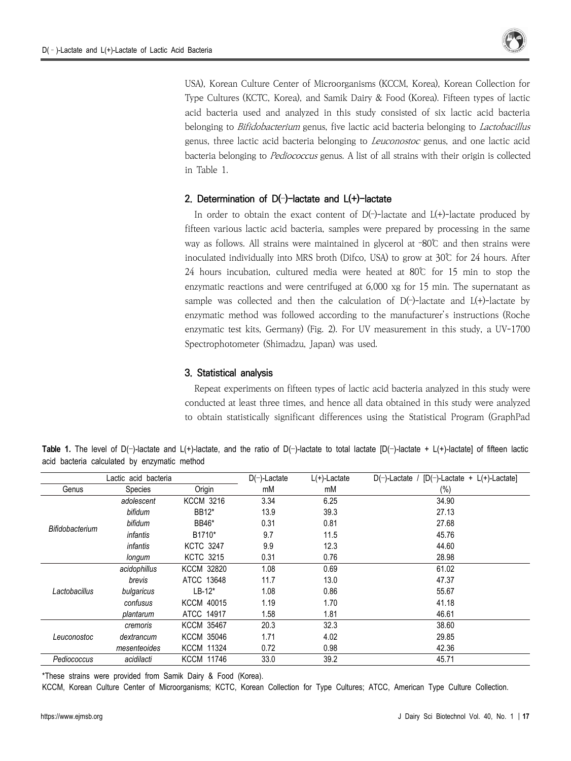

USA), Korean Culture Center of Microorganisms (KCCM, Korea), Korean Collection for Type Cultures (KCTC, Korea), and Samik Dairy & Food (Korea). Fifteen types of lactic acid bacteria used and analyzed in this study consisted of six lactic acid bacteria belonging to *Bifidobacterium* genus, five lactic acid bacteria belonging to *Lactobacillus* genus, three lactic acid bacteria belonging to Leuconostoc genus, and one lactic acid bacteria belonging to Pediococcus genus. A list of all strains with their origin is collected in Table 1.

#### **2. Determination of D(**–**)-lactate and L(+)-lactate**

In order to obtain the exact content of  $D(-)$ -lactate and  $L(+)$ -lactate produced by fifteen various lactic acid bacteria, samples were prepared by processing in the same way as follows. All strains were maintained in glycerol at –80℃ and then strains were inoculated individually into MRS broth (Difco, USA) to grow at 30℃ for 24 hours. After 24 hours incubation, cultured media were heated at 80℃ for 15 min to stop the enzymatic reactions and were centrifuged at 6,000 xg for 15 min. The supernatant as sample was collected and then the calculation of  $D(-)$ -lactate and  $L(+)$ -lactate by enzymatic method was followed according to the manufacturer's instructions (Roche enzymatic test kits, Germany) (Fig. 2). For UV measurement in this study, a UV-1700 Spectrophotometer (Shimadzu, Japan) was used.

#### **3. Statistical analysis**

Repeat experiments on fifteen types of lactic acid bacteria analyzed in this study were conducted at least three times, and hence all data obtained in this study were analyzed to obtain statistically significant differences using the Statistical Program (GraphPad

| Lactic acid bacteria |                 |                   | $D(-)$ -Lactate | $L(+)$ -Lactate | $D(-)$ -Lactate / $[D(-)$ -Lactate + L(+)-Lactate] |
|----------------------|-----------------|-------------------|-----------------|-----------------|----------------------------------------------------|
| Genus                | Species         | Origin            | mM              | mM              | $(\%)$                                             |
| Bifidobacterium      | adolescent      | <b>KCCM 3216</b>  | 3.34            | 6.25            | 34.90                                              |
|                      | bifidum         | BB12*             | 13.9            | 39.3            | 27.13                                              |
|                      | bifidum         | <b>BB46*</b>      | 0.31            | 0.81            | 27.68                                              |
|                      | <i>infantis</i> | B1710*            | 9.7             | 11.5            | 45.76                                              |
|                      | <i>infantis</i> | <b>KCTC 3247</b>  | 9.9             | 12.3            | 44.60                                              |
|                      | longum          | <b>KCTC 3215</b>  | 0.31            | 0.76            | 28.98                                              |
| Lactobacillus        | acidophillus    | <b>KCCM 32820</b> | 1.08            | 0.69            | 61.02                                              |
|                      | brevis          | ATCC 13648        | 11.7            | 13.0            | 47.37                                              |
|                      | bulgaricus      | $LB-12*$          | 1.08            | 0.86            | 55.67                                              |
|                      | confusus        | <b>KCCM 40015</b> | 1.19            | 1.70            | 41.18                                              |
|                      | plantarum       | ATCC 14917        | 1.58            | 1.81            | 46.61                                              |
| Leuconostoc          | cremoris        | <b>KCCM 35467</b> | 20.3            | 32.3            | 38.60                                              |
|                      | dextrancum      | <b>KCCM 35046</b> | 1.71            | 4.02            | 29.85                                              |
|                      | mesenteoides    | <b>KCCM 11324</b> | 0.72            | 0.98            | 42.36                                              |
| Pediococcus          | acidilacti      | <b>KCCM 11746</b> | 33.0            | 39.2            | 45.71                                              |

Table 1. The level of D(-)-lactate and L(+)-lactate, and the ratio of D(-)-lactate to total lactate [D(-)-lactate + L(+)-lactate] of fifteen lactic acid bacteria calculated by enzymatic method

\*These strains were provided from Samik Dairy & Food (Korea).

KCCM, Korean Culture Center of Microorganisms; KCTC, Korean Collection for Type Cultures; ATCC, American Type Culture Collection.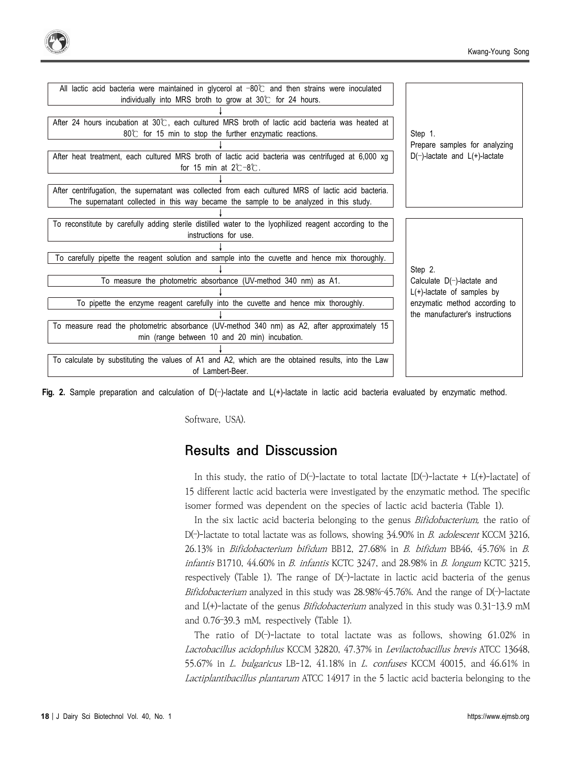| All lactic acid bacteria were maintained in glycerol at $-80^\circ$ and then strains were inoculated    |                                                                  |  |
|---------------------------------------------------------------------------------------------------------|------------------------------------------------------------------|--|
| individually into MRS broth to grow at 30°C for 24 hours.                                               |                                                                  |  |
|                                                                                                         |                                                                  |  |
| After 24 hours incubation at $30^\circ$ , each cultured MRS broth of lactic acid bacteria was heated at | Step 1.                                                          |  |
| $80^{\circ}$ for 15 min to stop the further enzymatic reactions.                                        |                                                                  |  |
|                                                                                                         | Prepare samples for analyzing                                    |  |
| After heat treatment, each cultured MRS broth of lactic acid bacteria was centrifuged at 6,000 xg       | $D(-)$ -lactate and $L(+)$ -lactate                              |  |
| for 15 min at $2^\circ$ -8 $^\circ$ .                                                                   |                                                                  |  |
|                                                                                                         |                                                                  |  |
| After centrifugation, the supernatant was collected from each cultured MRS of lactic acid bacteria.     |                                                                  |  |
| The supernatant collected in this way became the sample to be analyzed in this study.                   |                                                                  |  |
|                                                                                                         |                                                                  |  |
| To reconstitute by carefully adding sterile distilled water to the lyophilized reagent according to the |                                                                  |  |
| instructions for use.                                                                                   |                                                                  |  |
|                                                                                                         |                                                                  |  |
| To carefully pipette the reagent solution and sample into the cuvette and hence mix thoroughly.         |                                                                  |  |
|                                                                                                         | Step 2.                                                          |  |
| To measure the photometric absorbance (UV-method 340 nm) as A1.                                         | Calculate $D(-)$ -lactate and                                    |  |
|                                                                                                         | $L(+)$ -lactate of samples by                                    |  |
| To pipette the enzyme reagent carefully into the cuvette and hence mix thoroughly.                      | enzymatic method according to<br>the manufacturer's instructions |  |
|                                                                                                         |                                                                  |  |
| To measure read the photometric absorbance (UV-method 340 nm) as A2, after approximately 15             |                                                                  |  |
| min (range between 10 and 20 min) incubation.                                                           |                                                                  |  |
|                                                                                                         |                                                                  |  |
| To calculate by substituting the values of A1 and A2, which are the obtained results, into the Law      |                                                                  |  |
| of Lambert-Beer.                                                                                        |                                                                  |  |

**Fig. 2.** Sample preparation and calculation of D(–)-lactate and L(+)-lactate in lactic acid bacteria evaluated by enzymatic method.

Software, USA).

### **Results and Disscussion**

In this study, the ratio of D(-)-lactate to total lactate  $[D(-)$ -lactate + L(+)-lactate] of 15 different lactic acid bacteria were investigated by the enzymatic method. The specific isomer formed was dependent on the species of lactic acid bacteria (Table 1).

In the six lactic acid bacteria belonging to the genus *Bifidobacterium*, the ratio of D( $-$ )-lactate to total lactate was as follows, showing 34.90% in *B. adolescent* KCCM 3216, 26.13% in Bifidobacterium bifidum BB12, 27.68% in B. bifidum BB46, 45.76% in B.  $in$ fantis B1710, 44.60% in B. infantis KCTC 3247, and 28.98% in B. longum KCTC 3215, respectively (Table 1). The range of  $D(-)$ -lactate in lactic acid bacteria of the genus Bifidobacterium analyzed in this study was  $28.98\div 45.76\%$ . And the range of D( $\rightarrow$  lactate and  $L(+)$ -lactate of the genus *Bifidobacterium* analyzed in this study was  $0.31$ -13.9 mM and 0.76–39.3 mM, respectively (Table 1).

The ratio of  $D(-)$ -lactate to total lactate was as follows, showing 61.02% in Lactobacillus acidophilus KCCM 32820, 47.37% in Levilactobacillus brevis ATCC 13648, 55.67% in *L. bulgaricus* LB-12, 41.18% in *L. confuses* KCCM 40015, and 46.61% in Lactiplantibacillus plantarum ATCC 14917 in the 5 lactic acid bacteria belonging to the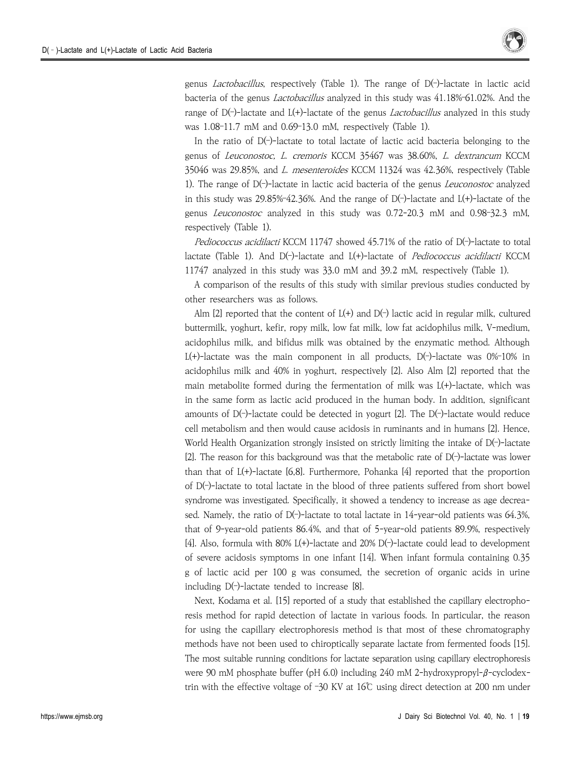

genus Lactobacillus, respectively (Table 1). The range of D(–)-lactate in lactic acid bacteria of the genus Lactobacillus analyzed in this study was 41.18%–61.02%. And the range of  $D(-)$ -lactate and  $L(+)$ -lactate of the genus *Lactobacillus* analyzed in this study was 1.08–11.7 mM and 0.69–13.0 mM, respectively (Table 1).

In the ratio of  $D(-)$ -lactate to total lactate of lactic acid bacteria belonging to the genus of Leuconostoc, L. cremoris KCCM 35467 was 38.60%, L. dextrancum KCCM 35046 was 29.85%, and L. mesenteroides KCCM 11324 was 42.36%, respectively (Table 1). The range of  $D(-)$ -lactate in lactic acid bacteria of the genus *Leuconostoc* analyzed in this study was  $29.85\%$ -42.36%. And the range of D(-)-lactate and L(+)-lactate of the genus Leuconostoc analyzed in this study was 0.72-20.3 mM and 0.98–32.3 mM, respectively (Table 1).

Pediococcus acidilacti KCCM 11747 showed 45.71% of the ratio of D(-)-lactate to total lactate (Table 1). And D(-)-lactate and L(+)-lactate of Pediococcus acidilacti KCCM 11747 analyzed in this study was 33.0 mM and 39.2 mM, respectively (Table 1).

A comparison of the results of this study with similar previous studies conducted by other researchers was as follows.

Alm [2] reported that the content of  $L(+)$  and  $D(-)$  lactic acid in regular milk, cultured buttermilk, yoghurt, kefir, ropy milk, low fat milk, low fat acidophilus milk, V-medium, acidophilus milk, and bifidus milk was obtained by the enzymatic method. Although L(+)-lactate was the main component in all products,  $D(-)$ -lactate was 0%-10% in acidophilus milk and 40% in yoghurt, respectively [2]. Also Alm [2] reported that the main metabolite formed during the fermentation of milk was L(+)-lactate, which was in the same form as lactic acid produced in the human body. In addition, significant amounts of  $D(-)$ -lactate could be detected in yogurt [2]. The  $D(-)$ -lactate would reduce cell metabolism and then would cause acidosis in ruminants and in humans [2]. Hence, World Health Organization strongly insisted on strictly limiting the intake of D(–)-lactate [2]. The reason for this background was that the metabolic rate of  $D(-)$ -lactate was lower than that of  $L(+)$ -lactate [6,8]. Furthermore, Pohanka [4] reported that the proportion of D(–)-lactate to total lactate in the blood of three patients suffered from short bowel syndrome was investigated. Specifically, it showed a tendency to increase as age decreased. Namely, the ratio of  $D(-)$ -lactate to total lactate in 14-year-old patients was 64.3%, that of 9-year-old patients 86.4%, and that of 5-year-old patients 89.9%, respectively [4]. Also, formula with  $80\%$  L(+)-lactate and  $20\%$  D(-)-lactate could lead to development of severe acidosis symptoms in one infant [14]. When infant formula containing 0.35 g of lactic acid per 100 g was consumed, the secretion of organic acids in urine including  $D(-)$ -lactate tended to increase [8].

Next, Kodama et al. [15] reported of a study that established the capillary electrophoresis method for rapid detection of lactate in various foods. In particular, the reason for using the capillary electrophoresis method is that most of these chromatography methods have not been used to chiroptically separate lactate from fermented foods [15]. The most suitable running conditions for lactate separation using capillary electrophoresis were 90 mM phosphate buffer (pH 6.0) including 240 mM 2-hydroxypropyl-β-cyclodextrin with the effective voltage of –30 KV at 16℃ using direct detection at 200 nm under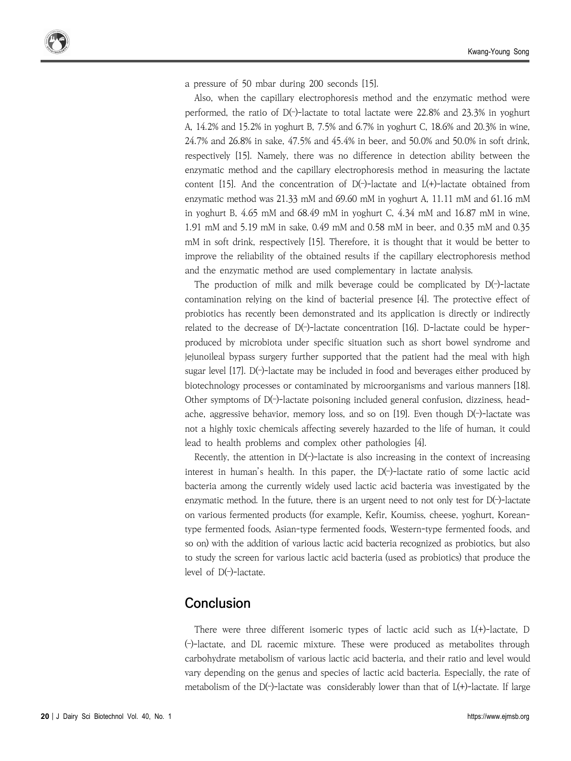a pressure of 50 mbar during 200 seconds [15].

Also, when the capillary electrophoresis method and the enzymatic method were performed, the ratio of  $D(-)$ -lactate to total lactate were 22.8% and 23.3% in yoghurt A, 14.2% and 15.2% in yoghurt B, 7.5% and 6.7% in yoghurt C, 18.6% and 20.3% in wine, 24.7% and 26.8% in sake, 47.5% and 45.4% in beer, and 50.0% and 50.0% in soft drink, respectively [15]. Namely, there was no difference in detection ability between the enzymatic method and the capillary electrophoresis method in measuring the lactate content [15]. And the concentration of  $D(-)$ -lactate and  $L(+)$ -lactate obtained from enzymatic method was 21.33 mM and 69.60 mM in yoghurt A, 11.11 mM and 61.16 mM in yoghurt B, 4.65 mM and 68.49 mM in yoghurt C, 4.34 mM and 16.87 mM in wine, 1.91 mM and 5.19 mM in sake, 0.49 mM and 0.58 mM in beer, and 0.35 mM and 0.35 mM in soft drink, respectively [15]. Therefore, it is thought that it would be better to improve the reliability of the obtained results if the capillary electrophoresis method and the enzymatic method are used complementary in lactate analysis.

The production of milk and milk beverage could be complicated by D(–)-lactate contamination relying on the kind of bacterial presence [4]. The protective effect of probiotics has recently been demonstrated and its application is directly or indirectly related to the decrease of  $D(-)$ -lactate concentration [16]. D-lactate could be hyperproduced by microbiota under specific situation such as short bowel syndrome and jejunoileal bypass surgery further supported that the patient had the meal with high sugar level [17]. D(–)-lactate may be included in food and beverages either produced by biotechnology processes or contaminated by microorganisms and various manners [18]. Other symptoms of D(–)-lactate poisoning included general confusion, dizziness, head ache, aggressive behavior, memory loss, and so on [19]. Even though D(–)-lactate was not a highly toxic chemicals affecting severely hazarded to the life of human, it could lead to health problems and complex other pathologies [4].

Recently, the attention in  $D(-)$ -lactate is also increasing in the context of increasing interest in human's health. In this paper, the D(–)-lactate ratio of some lactic acid bacteria among the currently widely used lactic acid bacteria was investigated by the enzymatic method. In the future, there is an urgent need to not only test for D(–)-lactate on various fermented products (for example, Kefir, Koumiss, cheese, yoghurt, Koreantype fermented foods, Asian-type fermented foods, Western-type fermented foods, and so on) with the addition of various lactic acid bacteria recognized as probiotics, but also to study the screen for various lactic acid bacteria (used as probiotics) that produce the level of D(–)-lactate.

### **Conclusion**

There were three different isomeric types of lactic acid such as  $L(+)$ -lactate, D (–)-lactate, and DL racemic mixture. These were produced as metabolites through carbohydrate metabolism of various lactic acid bacteria, and their ratio and level would vary depending on the genus and species of lactic acid bacteria. Especially, the rate of metabolism of the  $D(-)$ -lactate was considerably lower than that of  $L(+)$ -lactate. If large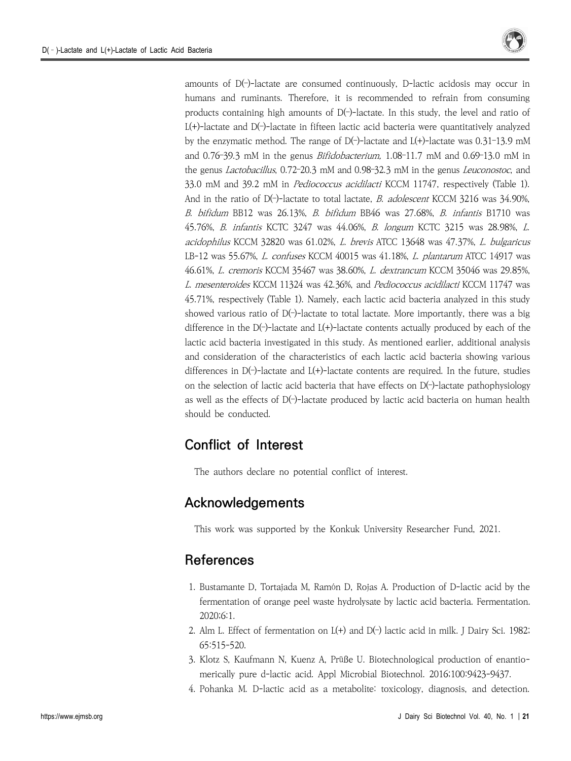

amounts of D(–)-lactate are consumed continuously, D-lactic acidosis may occur in humans and ruminants. Therefore, it is recommended to refrain from consuming products containing high amounts of D(–)-lactate. In this study, the level and ratio of L(+)-lactate and D(–)-lactate in fifteen lactic acid bacteria were quantitatively analyzed by the enzymatic method. The range of  $D(-)$ -lactate and  $L(+)$ -lactate was 0.31-13.9 mM and 0.76–39.3 mM in the genus Bifidobacterium, 1.08–11.7 mM and 0.69–13.0 mM in the genus Lactobacillus, 0.72–20.3 mM and 0.98–32.3 mM in the genus Leuconostoc, and 33.0 mM and 39.2 mM in *Pediococcus acidilacti* KCCM 11747, respectively (Table 1). And in the ratio of D(-)-lactate to total lactate, B. adolescent KCCM 3216 was 34.90%, B. bifidum BB12 was 26.13%, B. bifidum BB46 was 27.68%, B. infantis B1710 was 45.76%, B. infantis KCTC 3247 was 44.06%, B. longum KCTC 3215 was 28.98%, L. acidophilus KCCM 32820 was 61.02%, L. brevis ATCC 13648 was 47.37%, L. bulgaricus LB-12 was 55.67%, L. confuses KCCM 40015 was 41.18%, L. plantarum ATCC 14917 was 46.61%, L. cremoris KCCM 35467 was 38.60%, L. dextrancum KCCM 35046 was 29.85%, L. mesenteroides KCCM 11324 was 42.36%, and Pediococcus acidilacti KCCM 11747 was 45.71%, respectively (Table 1). Namely, each lactic acid bacteria analyzed in this study showed various ratio of  $D(-)$ -lactate to total lactate. More importantly, there was a big difference in the  $D(-)$ -lactate and  $L(+)$ -lactate contents actually produced by each of the lactic acid bacteria investigated in this study. As mentioned earlier, additional analysis and consideration of the characteristics of each lactic acid bacteria showing various differences in  $D(-)$ -lactate and  $L(+)$ -lactate contents are required. In the future, studies on the selection of lactic acid bacteria that have effects on  $D(-)$ -lactate pathophysiology as well as the effects of  $D(-)$ -lactate produced by lactic acid bacteria on human health should be conducted.

## **Conflict of Interest**

The authors declare no potential conflict of interest.

## **Acknowledgements**

This work was supported by the Konkuk University Researcher Fund, 2021.

### **References**

- 1. Bustamante D, Tortajada M, Ramón D, Rojas A. Production of D-lactic acid by the fermentation of orange peel waste hydrolysate by lactic acid bacteria. Fermentation. 2020;6:1.
- 2. Alm L. Effect of fermentation on L(+) and D(–) lactic acid in milk. J Dairy Sci. 1982; 65:515-520.
- 3. Klotz S, Kaufmann N, Kuenz A, Prüße U. Biotechnological production of enantio merically pure d-lactic acid. Appl Microbial Biotechnol. 2016;100:9423-9437.
- 4. Pohanka M. D-lactic acid as a metabolite: toxicology, diagnosis, and detection.